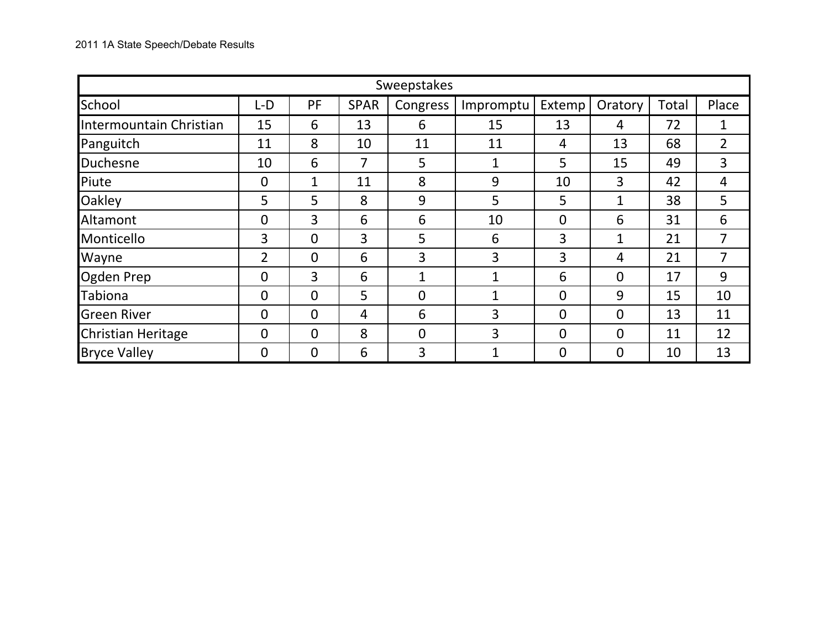|                         | Sweepstakes    |                |             |                |                     |                |                |       |       |  |  |  |  |  |
|-------------------------|----------------|----------------|-------------|----------------|---------------------|----------------|----------------|-------|-------|--|--|--|--|--|
| School                  | L-D            | PF             | <b>SPAR</b> | Congress       | Extemp<br>Impromptu |                | Oratory        | Total | Place |  |  |  |  |  |
| Intermountain Christian | 15             | 6              | 13          | 6              | 15                  | 13             | 4              | 72    | 1     |  |  |  |  |  |
| Panguitch               | 11             | 8              | 10          | 11             | 11                  | 4              | 13             | 68    | 2     |  |  |  |  |  |
| Duchesne                | 10             | 6              | 7           | 5              | 1                   | 5              | 15             | 49    | 3     |  |  |  |  |  |
| Piute                   | $\overline{0}$ | $\mathbf{1}$   | 11          | 8              | 9                   | 10             | 3              | 42    | 4     |  |  |  |  |  |
| <b>Oakley</b>           | 5              | 5              | 8           | 9              | 5                   | 5              | 1              | 38    | 5     |  |  |  |  |  |
| Altamont                | $\mathbf 0$    | 3              | 6           | 6              | 10                  | $\overline{0}$ | 6              | 31    | 6     |  |  |  |  |  |
| Monticello              | 3              | $\overline{0}$ | 3           | 5              | 6                   | 3              | 1              | 21    | 7     |  |  |  |  |  |
| Wayne                   | 2              | $\overline{0}$ | 6           | 3              | 3                   | 3              | 4              | 21    | 7     |  |  |  |  |  |
| Ogden Prep              | $\overline{0}$ | 3              | 6           | $\mathbf{1}$   | $\mathbf{1}$        | 6              | $\overline{0}$ | 17    | 9     |  |  |  |  |  |
| Tabiona                 | $\mathbf 0$    | $\Omega$       | 5           | 0              | $\mathbf{1}$        | $\overline{0}$ | 9              | 15    | 10    |  |  |  |  |  |
| <b>Green River</b>      | $\mathbf 0$    | $\Omega$       | 4           | 6              | 3                   | $\overline{0}$ | $\Omega$       | 13    | 11    |  |  |  |  |  |
| Christian Heritage      | $\overline{0}$ | $\overline{0}$ | 8           | $\overline{0}$ | 3                   | $\overline{0}$ | $\Omega$       | 11    | 12    |  |  |  |  |  |
| <b>Bryce Valley</b>     | $\overline{0}$ | $\overline{0}$ | 6           | 3              | ◀<br>T              | $\overline{0}$ | $\Omega$       | 10    | 13    |  |  |  |  |  |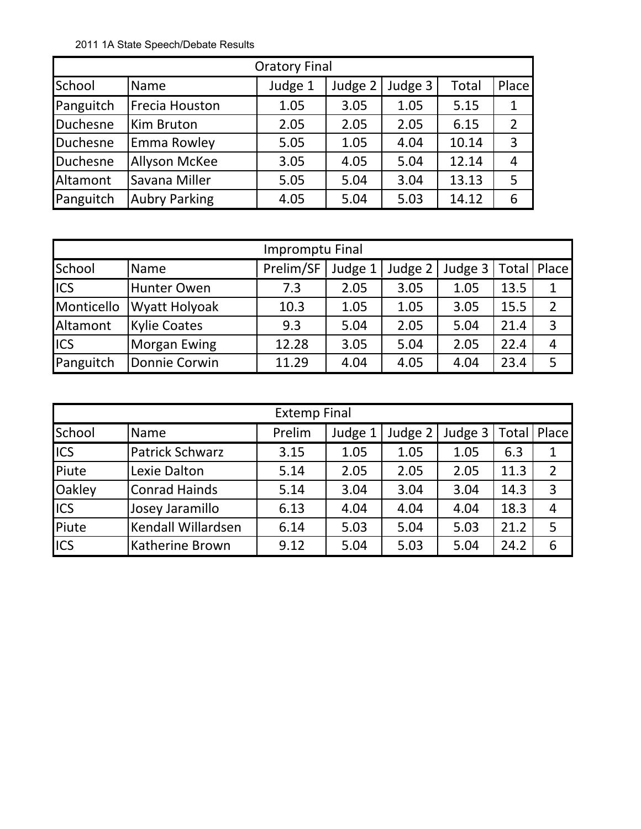2011 1A State Speech/Debate Results

| <b>Oratory Final</b> |                      |         |         |         |       |                |  |  |  |  |  |  |  |
|----------------------|----------------------|---------|---------|---------|-------|----------------|--|--|--|--|--|--|--|
| School               | Name                 | Judge 1 | Judge 2 | Judge 3 | Total | Place          |  |  |  |  |  |  |  |
| Panguitch            | Frecia Houston       | 1.05    | 3.05    | 1.05    | 5.15  | 1              |  |  |  |  |  |  |  |
| Duchesne             | Kim Bruton           | 2.05    | 2.05    | 2.05    | 6.15  | $\overline{2}$ |  |  |  |  |  |  |  |
| Duchesne             | Emma Rowley          | 5.05    | 1.05    | 4.04    | 10.14 | 3              |  |  |  |  |  |  |  |
| Duchesne             | <b>Allyson McKee</b> | 3.05    | 4.05    | 5.04    | 12.14 | 4              |  |  |  |  |  |  |  |
| Altamont             | Savana Miller        | 5.05    | 5.04    | 3.04    | 13.13 | 5              |  |  |  |  |  |  |  |
| Panguitch            | <b>Aubry Parking</b> | 4.05    | 5.04    | 5.03    | 14.12 | 6              |  |  |  |  |  |  |  |

|            | Impromptu Final      |           |         |         |           |      |                |  |  |  |  |  |  |  |
|------------|----------------------|-----------|---------|---------|-----------|------|----------------|--|--|--|--|--|--|--|
| School     | Name                 | Prelim/SF | Judge 1 | Judge 2 | Judge $3$ |      | Total   Place  |  |  |  |  |  |  |  |
| <b>ICS</b> | Hunter Owen          | 7.3       | 2.05    | 3.05    | 1.05      | 13.5 | 1              |  |  |  |  |  |  |  |
| Monticello | <b>Wyatt Holyoak</b> | 10.3      | 1.05    | 1.05    | 3.05      | 15.5 | $\overline{2}$ |  |  |  |  |  |  |  |
| Altamont   | <b>Kylie Coates</b>  | 9.3       | 5.04    | 2.05    | 5.04      | 21.4 | $\overline{3}$ |  |  |  |  |  |  |  |
| <b>ICS</b> | <b>Morgan Ewing</b>  | 12.28     | 3.05    | 5.04    | 2.05      | 22.4 | 4              |  |  |  |  |  |  |  |
| Panguitch  | Donnie Corwin        | 11.29     | 4.04    | 4.05    | 4.04      | 23.4 | 5              |  |  |  |  |  |  |  |

|               | <b>Extemp Final</b>    |        |         |         |         |       |                |  |  |  |  |  |  |  |
|---------------|------------------------|--------|---------|---------|---------|-------|----------------|--|--|--|--|--|--|--|
| <b>School</b> | Name                   | Prelim | Judge 1 | Judge 2 | Judge 3 | Total | Place          |  |  |  |  |  |  |  |
| <b>ICS</b>    | <b>Patrick Schwarz</b> | 3.15   | 1.05    | 1.05    | 1.05    | 6.3   | $\mathbf 1$    |  |  |  |  |  |  |  |
| Piute         | Lexie Dalton           | 5.14   | 2.05    | 2.05    | 2.05    | 11.3  | $\overline{2}$ |  |  |  |  |  |  |  |
| <b>Oakley</b> | <b>Conrad Hainds</b>   | 5.14   | 3.04    | 3.04    | 3.04    | 14.3  | $\overline{3}$ |  |  |  |  |  |  |  |
| <b>ICS</b>    | Josey Jaramillo        | 6.13   | 4.04    | 4.04    | 4.04    | 18.3  | 4              |  |  |  |  |  |  |  |
| Piute         | Kendall Willardsen     | 6.14   | 5.03    | 5.04    | 5.03    | 21.2  | 5              |  |  |  |  |  |  |  |
| <b>ICS</b>    | <b>Katherine Brown</b> | 9.12   | 5.04    | 5.03    | 5.04    | 24.2  | 6              |  |  |  |  |  |  |  |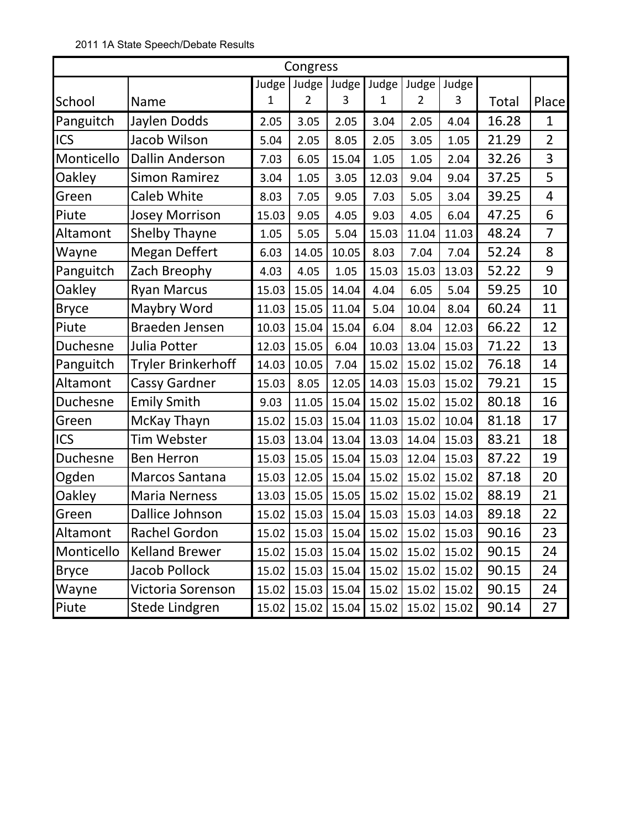|              | Congress               |       |                |             |       |                |       |       |                |  |  |  |  |  |
|--------------|------------------------|-------|----------------|-------------|-------|----------------|-------|-------|----------------|--|--|--|--|--|
|              |                        | Judge |                | Judge Judge | Judge | Judge          | Judge |       |                |  |  |  |  |  |
| School       | Name                   | 1     | $\overline{2}$ | 3           | 1     | $\overline{2}$ | 3     | Total | Place          |  |  |  |  |  |
| Panguitch    | Jaylen Dodds           | 2.05  | 3.05           | 2.05        | 3.04  | 2.05           | 4.04  | 16.28 | 1              |  |  |  |  |  |
| ICS          | Jacob Wilson           | 5.04  | 2.05           | 8.05        | 2.05  | 3.05           | 1.05  | 21.29 | $\overline{2}$ |  |  |  |  |  |
| Monticello   | <b>Dallin Anderson</b> | 7.03  | 6.05           | 15.04       | 1.05  | 1.05           | 2.04  | 32.26 | 3              |  |  |  |  |  |
| Oakley       | <b>Simon Ramirez</b>   | 3.04  | 1.05           | 3.05        | 12.03 | 9.04           | 9.04  | 37.25 | 5              |  |  |  |  |  |
| Green        | <b>Caleb White</b>     | 8.03  | 7.05           | 9.05        | 7.03  | 5.05           | 3.04  | 39.25 | $\overline{4}$ |  |  |  |  |  |
| Piute        | <b>Josey Morrison</b>  | 15.03 | 9.05           | 4.05        | 9.03  | 4.05           | 6.04  | 47.25 | 6              |  |  |  |  |  |
| Altamont     | Shelby Thayne          | 1.05  | 5.05           | 5.04        | 15.03 | 11.04          | 11.03 | 48.24 | $\overline{7}$ |  |  |  |  |  |
| Wayne        | <b>Megan Deffert</b>   | 6.03  | 14.05          | 10.05       | 8.03  | 7.04           | 7.04  | 52.24 | 8              |  |  |  |  |  |
| Panguitch    | Zach Breophy           | 4.03  | 4.05           | 1.05        | 15.03 | 15.03          | 13.03 | 52.22 | 9              |  |  |  |  |  |
| Oakley       | <b>Ryan Marcus</b>     | 15.03 | 15.05          | 14.04       | 4.04  | 6.05           | 5.04  | 59.25 | 10             |  |  |  |  |  |
| <b>Bryce</b> | Maybry Word            | 11.03 | 15.05          | 11.04       | 5.04  | 10.04          | 8.04  | 60.24 | 11             |  |  |  |  |  |
| Piute        | Braeden Jensen         | 10.03 | 15.04          | 15.04       | 6.04  | 8.04           | 12.03 | 66.22 | 12             |  |  |  |  |  |
| Duchesne     | Julia Potter           | 12.03 | 15.05          | 6.04        | 10.03 | 13.04          | 15.03 | 71.22 | 13             |  |  |  |  |  |
| Panguitch    | Tryler Brinkerhoff     | 14.03 | 10.05          | 7.04        | 15.02 | 15.02          | 15.02 | 76.18 | 14             |  |  |  |  |  |
| Altamont     | <b>Cassy Gardner</b>   | 15.03 | 8.05           | 12.05       | 14.03 | 15.03          | 15.02 | 79.21 | 15             |  |  |  |  |  |
| Duchesne     | <b>Emily Smith</b>     | 9.03  | 11.05          | 15.04       | 15.02 | 15.02          | 15.02 | 80.18 | 16             |  |  |  |  |  |
| Green        | McKay Thayn            | 15.02 | 15.03          | 15.04       | 11.03 | 15.02          | 10.04 | 81.18 | 17             |  |  |  |  |  |
| ICS          | <b>Tim Webster</b>     | 15.03 | 13.04          | 13.04       | 13.03 | 14.04          | 15.03 | 83.21 | 18             |  |  |  |  |  |
| Duchesne     | <b>Ben Herron</b>      | 15.03 | 15.05          | 15.04       | 15.03 | 12.04          | 15.03 | 87.22 | 19             |  |  |  |  |  |
| Ogden        | Marcos Santana         | 15.03 | 12.05          | 15.04       | 15.02 | 15.02          | 15.02 | 87.18 | 20             |  |  |  |  |  |
| Oakley       | <b>Maria Nerness</b>   | 13.03 | 15.05          | 15.05       | 15.02 | 15.02          | 15.02 | 88.19 | 21             |  |  |  |  |  |
| Green        | Dallice Johnson        | 15.02 | 15.03          | 15.04       | 15.03 | 15.03          | 14.03 | 89.18 | 22             |  |  |  |  |  |
| Altamont     | Rachel Gordon          | 15.02 | 15.03          | 15.04       | 15.02 | 15.02          | 15.03 | 90.16 | 23             |  |  |  |  |  |
| Monticello   | <b>Kelland Brewer</b>  | 15.02 | 15.03          | 15.04       | 15.02 | 15.02          | 15.02 | 90.15 | 24             |  |  |  |  |  |
| <b>Bryce</b> | Jacob Pollock          | 15.02 | 15.03          | 15.04       | 15.02 | 15.02          | 15.02 | 90.15 | 24             |  |  |  |  |  |
| Wayne        | Victoria Sorenson      | 15.02 | 15.03          | 15.04       | 15.02 | 15.02          | 15.02 | 90.15 | 24             |  |  |  |  |  |
| Piute        | Stede Lindgren         | 15.02 | 15.02          | 15.04       | 15.02 | 15.02          | 15.02 | 90.14 | 27             |  |  |  |  |  |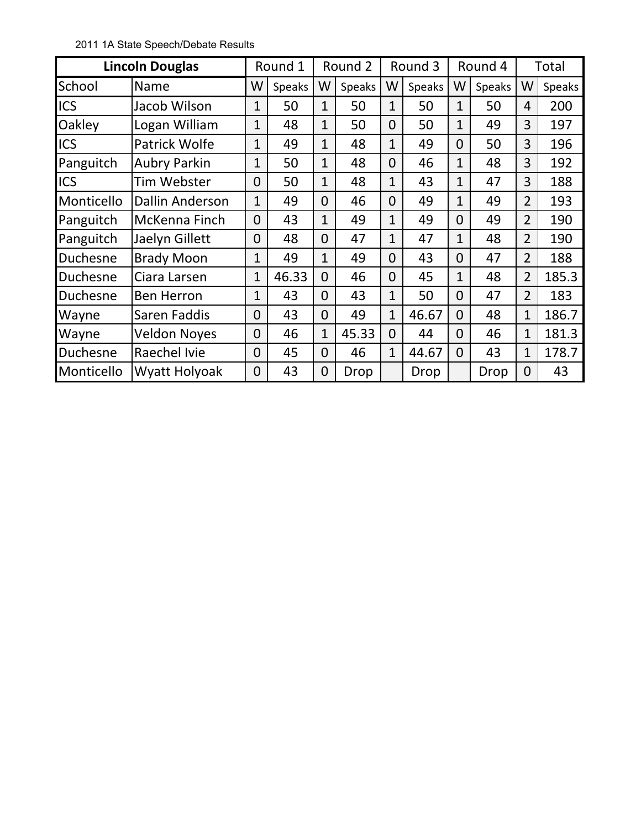2011 1A State Speech/Debate Results

|            | <b>Lincoln Douglas</b> |                | Round 1       | Round 2        |               |                | Round 3       | Round 4        |               |                | Total  |
|------------|------------------------|----------------|---------------|----------------|---------------|----------------|---------------|----------------|---------------|----------------|--------|
| School     | Name                   | W              | <b>Speaks</b> | W              | <b>Speaks</b> | W              | <b>Speaks</b> | W              | <b>Speaks</b> | W              | Speaks |
| <b>ICS</b> | Jacob Wilson           | 1              | 50            | $\overline{1}$ | 50            | $\mathbf{1}$   | 50            | $\mathbf{1}$   | 50            | $\overline{4}$ | 200    |
| Oakley     | Logan William          | 1              | 48            | $\mathbf{1}$   | 50            | $\overline{0}$ | 50            | $\mathbf{1}$   | 49            | 3              | 197    |
| <b>ICS</b> | Patrick Wolfe          | $\overline{1}$ | 49            | $\mathbf{1}$   | 48            | $\mathbf{1}$   | 49            | $\overline{0}$ | 50            | 3              | 196    |
| Panguitch  | <b>Aubry Parkin</b>    | $\mathbf{1}$   | 50            | $\mathbf{1}$   | 48            | $\overline{0}$ | 46            | $\mathbf{1}$   | 48            | 3              | 192    |
| <b>ICS</b> | Tim Webster            | 0              | 50            | 1              | 48            | $\mathbf{1}$   | 43            | 1              | 47            | 3              | 188    |
| Monticello | <b>Dallin Anderson</b> | $\mathbf{1}$   | 49            | 0              | 46            | $\overline{0}$ | 49            | $\overline{1}$ | 49            | $\overline{2}$ | 193    |
| Panguitch  | McKenna Finch          | $\overline{0}$ | 43            | $\mathbf{1}$   | 49            | $\mathbf{1}$   | 49            | $\overline{0}$ | 49            | $\overline{2}$ | 190    |
| Panguitch  | Jaelyn Gillett         | $\overline{0}$ | 48            | 0              | 47            | $\mathbf{1}$   | 47            | 1              | 48            | $\overline{2}$ | 190    |
| Duchesne   | <b>Brady Moon</b>      | $\mathbf{1}$   | 49            | $\overline{1}$ | 49            | $\overline{0}$ | 43            | 0              | 47            | $\overline{2}$ | 188    |
| Duchesne   | Ciara Larsen           | 1              | 46.33         | 0              | 46            | $\overline{0}$ | 45            | 1              | 48            | $\overline{2}$ | 185.3  |
| Duchesne   | <b>Ben Herron</b>      | 1              | 43            | 0              | 43            | 1              | 50            | 0              | 47            | $\overline{2}$ | 183    |
| Wayne      | Saren Faddis           | 0              | 43            | 0              | 49            | 1              | 46.67         | 0              | 48            | 1              | 186.7  |
| Wayne      | <b>Veldon Noyes</b>    | $\overline{0}$ | 46            | $\mathbf{1}$   | 45.33         | $\overline{0}$ | 44            | 0              | 46            | 1              | 181.3  |
| Duchesne   | Raechel Ivie           | $\overline{0}$ | 45            | $\overline{0}$ | 46            | $\mathbf{1}$   | 44.67         | 0              | 43            | $\mathbf{1}$   | 178.7  |
| Monticello | <b>Wyatt Holyoak</b>   | $\overline{0}$ | 43            | 0              | Drop          |                | Drop          |                | Drop          | $\overline{0}$ | 43     |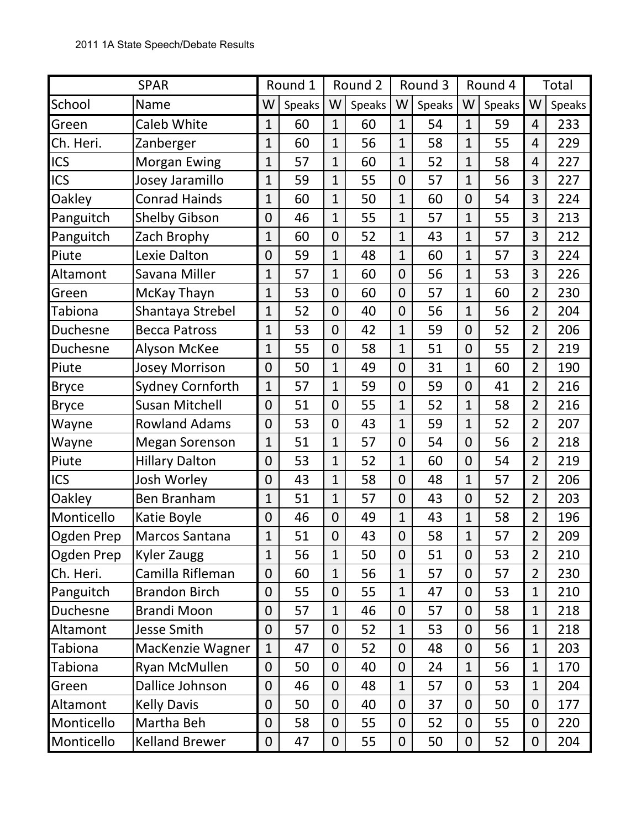|                | <b>SPAR</b>             |                  | Round 1 |                | Round 2 | Round 3        |        | Round 4        |        | Total          |        |
|----------------|-------------------------|------------------|---------|----------------|---------|----------------|--------|----------------|--------|----------------|--------|
| School         | Name                    | W                | Speaks  | W              | Speaks  | W              | Speaks | W              | Speaks | W              | Speaks |
| Green          | <b>Caleb White</b>      | $\mathbf{1}$     | 60      | $\mathbf{1}$   | 60      | $\mathbf{1}$   | 54     | $\mathbf{1}$   | 59     | 4              | 233    |
| Ch. Heri.      | Zanberger               | $\mathbf{1}$     | 60      | $\mathbf{1}$   | 56      | $\mathbf{1}$   | 58     | $\mathbf{1}$   | 55     | 4              | 229    |
| ICS            | <b>Morgan Ewing</b>     | $\mathbf{1}$     | 57      | $\mathbf{1}$   | 60      | $\mathbf{1}$   | 52     | $\mathbf{1}$   | 58     | 4              | 227    |
| <b>ICS</b>     | Josey Jaramillo         | $\mathbf 1$      | 59      | $\mathbf{1}$   | 55      | $\overline{0}$ | 57     | $\mathbf{1}$   | 56     | 3              | 227    |
| Oakley         | <b>Conrad Hainds</b>    | $\mathbf{1}$     | 60      | $\overline{1}$ | 50      | $\mathbf{1}$   | 60     | $\mathbf{0}$   | 54     | 3              | 224    |
| Panguitch      | <b>Shelby Gibson</b>    | $\mathbf 0$      | 46      | $\overline{1}$ | 55      | $\mathbf{1}$   | 57     | $\mathbf{1}$   | 55     | 3              | 213    |
| Panguitch      | Zach Brophy             | $\overline{1}$   | 60      | $\overline{0}$ | 52      | $\mathbf{1}$   | 43     | $\mathbf{1}$   | 57     | 3              | 212    |
| Piute          | Lexie Dalton            | $\mathbf 0$      | 59      | $\mathbf{1}$   | 48      | $\mathbf{1}$   | 60     | $\mathbf{1}$   | 57     | 3              | 224    |
| Altamont       | Savana Miller           | $\overline{1}$   | 57      | $\mathbf{1}$   | 60      | $\mathbf 0$    | 56     | $\mathbf{1}$   | 53     | 3              | 226    |
| Green          | McKay Thayn             | $\mathbf 1$      | 53      | $\overline{0}$ | 60      | $\overline{0}$ | 57     | $\mathbf{1}$   | 60     | $\overline{2}$ | 230    |
| <b>Tabiona</b> | Shantaya Strebel        | $\mathbf 1$      | 52      | $\overline{0}$ | 40      | $\mathbf 0$    | 56     | $\mathbf{1}$   | 56     | $\overline{2}$ | 204    |
| Duchesne       | <b>Becca Patross</b>    | $\mathbf 1$      | 53      | $\overline{0}$ | 42      | $\mathbf{1}$   | 59     | $\overline{0}$ | 52     | $\overline{2}$ | 206    |
| Duchesne       | <b>Alyson McKee</b>     | $\mathbf{1}$     | 55      | $\overline{0}$ | 58      | $\mathbf{1}$   | 51     | $\mathbf 0$    | 55     | $\overline{2}$ | 219    |
| Piute          | <b>Josey Morrison</b>   | $\mathbf 0$      | 50      | $\mathbf{1}$   | 49      | $\mathbf 0$    | 31     | $\mathbf{1}$   | 60     | $\overline{2}$ | 190    |
| <b>Bryce</b>   | <b>Sydney Cornforth</b> | $\mathbf{1}$     | 57      | $\mathbf{1}$   | 59      | $\mathbf 0$    | 59     | $\overline{0}$ | 41     | $\overline{2}$ | 216    |
| <b>Bryce</b>   | <b>Susan Mitchell</b>   | $\mathbf 0$      | 51      | $\overline{0}$ | 55      | $\mathbf{1}$   | 52     | $\mathbf{1}$   | 58     | $\overline{2}$ | 216    |
| Wayne          | <b>Rowland Adams</b>    | $\mathbf 0$      | 53      | $\overline{0}$ | 43      | $\mathbf{1}$   | 59     | $\mathbf{1}$   | 52     | $\overline{2}$ | 207    |
| Wayne          | <b>Megan Sorenson</b>   | $\mathbf{1}$     | 51      | $\mathbf{1}$   | 57      | $\overline{0}$ | 54     | $\overline{0}$ | 56     | $\overline{2}$ | 218    |
| Piute          | <b>Hillary Dalton</b>   | $\mathbf 0$      | 53      | $\mathbf{1}$   | 52      | $\mathbf{1}$   | 60     | $\overline{0}$ | 54     | $\overline{2}$ | 219    |
| <b>ICS</b>     | Josh Worley             | $\mathbf 0$      | 43      | $\mathbf{1}$   | 58      | $\mathbf 0$    | 48     | $\mathbf{1}$   | 57     | $\overline{2}$ | 206    |
| Oakley         | Ben Branham             | $\mathbf{1}$     | 51      | $\mathbf{1}$   | 57      | $\mathbf{0}$   | 43     | $\overline{0}$ | 52     | $\overline{2}$ | 203    |
| Monticello     | Katie Boyle             | $\mathbf 0$      | 46      | $\overline{0}$ | 49      | $\mathbf{1}$   | 43     | $\mathbf{1}$   | 58     | $\overline{2}$ | 196    |
| Ogden Prep     | Marcos Santana          | $\mathbf{1}$     | 51      | $\overline{0}$ | 43      | $\mathbf 0$    | 58     | $\mathbf{1}$   | 57     | $\overline{2}$ | 209    |
| Ogden Prep     | <b>Kyler Zaugg</b>      | $\mathbf{1}$     | 56      | $\mathbf{1}$   | 50      | $\mathbf{0}$   | 51     | $\overline{0}$ | 53     | $\overline{2}$ | 210    |
| Ch. Heri.      | Camilla Rifleman        | $\mathbf 0$      | 60      | $\mathbf{1}$   | 56      | $\mathbf{1}$   | 57     | $\overline{0}$ | 57     | $\overline{2}$ | 230    |
| Panguitch      | <b>Brandon Birch</b>    | $\mathbf 0$      | 55      | $\overline{0}$ | 55      | $\mathbf{1}$   | 47     | 0              | 53     | $\mathbf{1}$   | 210    |
| Duchesne       | <b>Brandi Moon</b>      | 0                | 57      | $\mathbf{1}$   | 46      | $\overline{0}$ | 57     | 0              | 58     | $\mathbf{1}$   | 218    |
| Altamont       | <b>Jesse Smith</b>      | $\boldsymbol{0}$ | 57      | $\overline{0}$ | 52      | $\mathbf{1}$   | 53     | 0              | 56     | $\mathbf{1}$   | 218    |
| Tabiona        | MacKenzie Wagner        | $\mathbf{1}$     | 47      | $\overline{0}$ | 52      | $\Omega$       | 48     | 0              | 56     | $\mathbf{1}$   | 203    |
| <b>Tabiona</b> | Ryan McMullen           | 0                | 50      | $\overline{0}$ | 40      | $\overline{0}$ | 24     | $\mathbf{1}$   | 56     | $\mathbf{1}$   | 170    |
| Green          | Dallice Johnson         | 0                | 46      | $\overline{0}$ | 48      | $\mathbf{1}$   | 57     | 0              | 53     | $\mathbf{1}$   | 204    |
| Altamont       | <b>Kelly Davis</b>      | 0                | 50      | $\overline{0}$ | 40      | $\overline{0}$ | 37     | 0              | 50     | $\overline{0}$ | 177    |
| Monticello     | Martha Beh              | $\overline{0}$   | 58      | $\overline{0}$ | 55      | $\mathbf{0}$   | 52     | $\overline{0}$ | 55     | $\overline{0}$ | 220    |
| Monticello     | <b>Kelland Brewer</b>   | 0                | 47      | $\mathbf 0$    | 55      | $\mathbf 0$    | 50     | 0              | 52     | 0              | 204    |